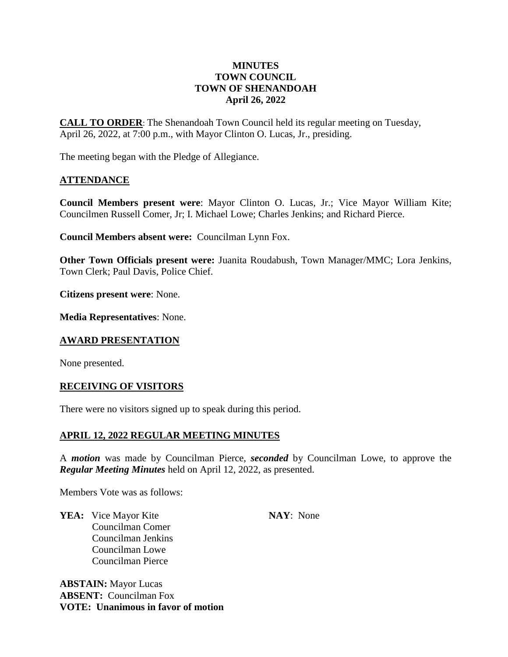# **MINUTES TOWN COUNCIL TOWN OF SHENANDOAH April 26, 2022**

**CALL TO ORDER**: The Shenandoah Town Council held its regular meeting on Tuesday, April 26, 2022, at 7:00 p.m., with Mayor Clinton O. Lucas, Jr., presiding.

The meeting began with the Pledge of Allegiance.

# **ATTENDANCE**

**Council Members present were**: Mayor Clinton O. Lucas, Jr.; Vice Mayor William Kite; Councilmen Russell Comer, Jr; I. Michael Lowe; Charles Jenkins; and Richard Pierce.

**Council Members absent were:** Councilman Lynn Fox.

**Other Town Officials present were:** Juanita Roudabush, Town Manager/MMC; Lora Jenkins, Town Clerk; Paul Davis, Police Chief.

**Citizens present were**: None.

**Media Representatives**: None.

# **AWARD PRESENTATION**

None presented.

# **RECEIVING OF VISITORS**

There were no visitors signed up to speak during this period.

# **APRIL 12, 2022 REGULAR MEETING MINUTES**

A *motion* was made by Councilman Pierce, *seconded* by Councilman Lowe, to approve the *Regular Meeting Minutes* held on April 12, 2022, as presented.

Members Vote was as follows:

**YEA:** Vice Mayor Kite **NAY**: None Councilman Comer Councilman Jenkins Councilman Lowe Councilman Pierce

**ABSTAIN:** Mayor Lucas **ABSENT:** Councilman Fox **VOTE: Unanimous in favor of motion**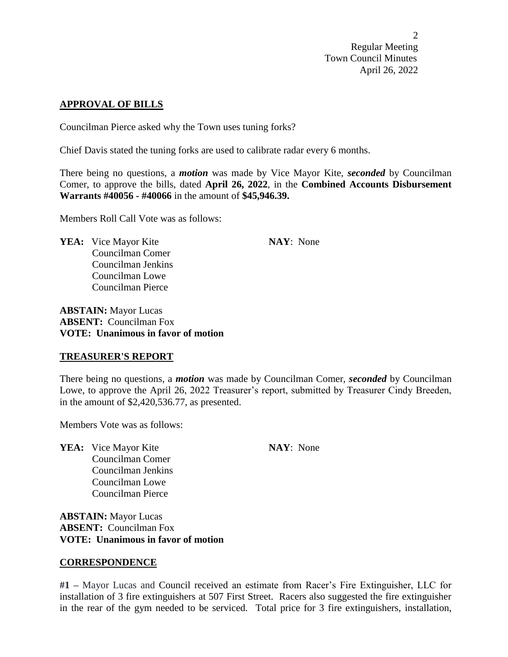#### **APPROVAL OF BILLS**

Councilman Pierce asked why the Town uses tuning forks?

Chief Davis stated the tuning forks are used to calibrate radar every 6 months.

There being no questions, a *motion* was made by Vice Mayor Kite, *seconded* by Councilman Comer, to approve the bills, dated **April 26, 2022**, in the **Combined Accounts Disbursement Warrants #40056 - #40066** in the amount of **\$45,946.39.**

Members Roll Call Vote was as follows:

**YEA:** Vice Mayor Kite **NAY**: None Councilman Comer Councilman Jenkins Councilman Lowe Councilman Pierce

**ABSTAIN:** Mayor Lucas **ABSENT:** Councilman Fox **VOTE: Unanimous in favor of motion**

#### **TREASURER'S REPORT**

There being no questions, a *motion* was made by Councilman Comer, *seconded* by Councilman Lowe, to approve the April 26, 2022 Treasurer's report, submitted by Treasurer Cindy Breeden, in the amount of \$2,420,536.77, as presented.

Members Vote was as follows:

**YEA:** Vice Mayor Kite **NAY**: None Councilman Comer Councilman Jenkins Councilman Lowe Councilman Pierce

**ABSTAIN:** Mayor Lucas **ABSENT:** Councilman Fox **VOTE: Unanimous in favor of motion**

#### **CORRESPONDENCE**

**#1 –** Mayor Lucas and Council received an estimate from Racer's Fire Extinguisher, LLC for installation of 3 fire extinguishers at 507 First Street. Racers also suggested the fire extinguisher in the rear of the gym needed to be serviced. Total price for 3 fire extinguishers, installation,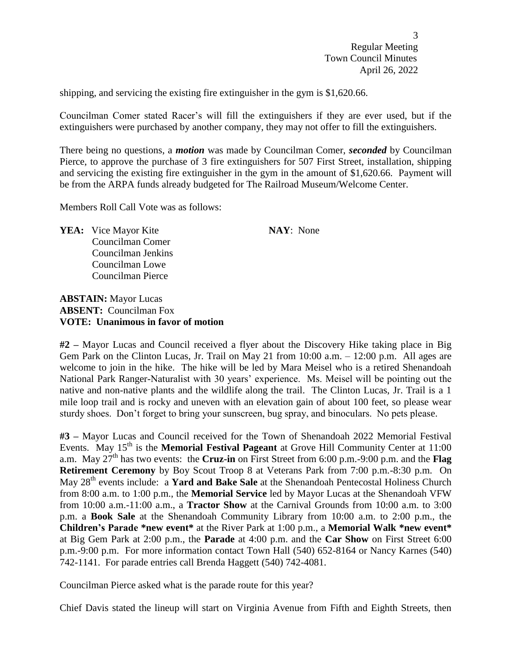shipping, and servicing the existing fire extinguisher in the gym is \$1,620.66.

Councilman Comer stated Racer's will fill the extinguishers if they are ever used, but if the extinguishers were purchased by another company, they may not offer to fill the extinguishers.

There being no questions, a *motion* was made by Councilman Comer, *seconded* by Councilman Pierce, to approve the purchase of 3 fire extinguishers for 507 First Street, installation, shipping and servicing the existing fire extinguisher in the gym in the amount of \$1,620.66. Payment will be from the ARPA funds already budgeted for The Railroad Museum/Welcome Center.

Members Roll Call Vote was as follows:

**YEA:** Vice Mayor Kite **NAY**: None Councilman Comer Councilman Jenkins Councilman Lowe Councilman Pierce

# **ABSTAIN:** Mayor Lucas **ABSENT:** Councilman Fox **VOTE: Unanimous in favor of motion**

**#2 –** Mayor Lucas and Council received a flyer about the Discovery Hike taking place in Big Gem Park on the Clinton Lucas, Jr. Trail on May 21 from 10:00 a.m. – 12:00 p.m. All ages are welcome to join in the hike. The hike will be led by Mara Meisel who is a retired Shenandoah National Park Ranger-Naturalist with 30 years' experience. Ms. Meisel will be pointing out the native and non-native plants and the wildlife along the trail. The Clinton Lucas, Jr. Trail is a 1 mile loop trail and is rocky and uneven with an elevation gain of about 100 feet, so please wear sturdy shoes. Don't forget to bring your sunscreen, bug spray, and binoculars. No pets please.

**#3 –** Mayor Lucas and Council received for the Town of Shenandoah 2022 Memorial Festival Events. May 15<sup>th</sup> is the **Memorial Festival Pageant** at Grove Hill Community Center at 11:00 a.m. May 27<sup>th</sup> has two events: the **Cruz-in** on First Street from 6:00 p.m.-9:00 p.m. and the **Flag Retirement Ceremony** by Boy Scout Troop 8 at Veterans Park from 7:00 p.m.-8:30 p.m. On May 28<sup>th</sup> events include: a **Yard and Bake Sale** at the Shenandoah Pentecostal Holiness Church from 8:00 a.m. to 1:00 p.m., the **Memorial Service** led by Mayor Lucas at the Shenandoah VFW from 10:00 a.m.-11:00 a.m., a **Tractor Show** at the Carnival Grounds from 10:00 a.m. to 3:00 p.m. a **Book Sale** at the Shenandoah Community Library from 10:00 a.m. to 2:00 p.m., the **Children's Parade \*new event\*** at the River Park at 1:00 p.m., a **Memorial Walk \*new event\*** at Big Gem Park at 2:00 p.m., the **Parade** at 4:00 p.m. and the **Car Show** on First Street 6:00 p.m.-9:00 p.m. For more information contact Town Hall (540) 652-8164 or Nancy Karnes (540) 742-1141. For parade entries call Brenda Haggett (540) 742-4081.

Councilman Pierce asked what is the parade route for this year?

Chief Davis stated the lineup will start on Virginia Avenue from Fifth and Eighth Streets, then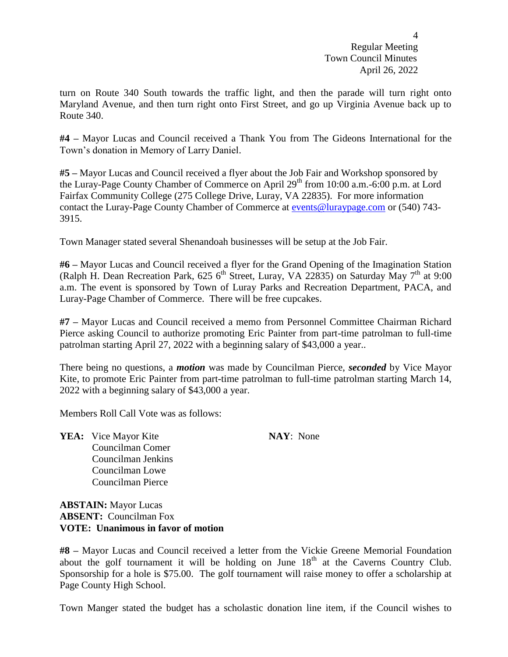turn on Route 340 South towards the traffic light, and then the parade will turn right onto Maryland Avenue, and then turn right onto First Street, and go up Virginia Avenue back up to Route 340.

**#4 –** Mayor Lucas and Council received a Thank You from The Gideons International for the Town's donation in Memory of Larry Daniel.

**#5 –** Mayor Lucas and Council received a flyer about the Job Fair and Workshop sponsored by the Luray-Page County Chamber of Commerce on April 29<sup>th</sup> from 10:00 a.m.-6:00 p.m. at Lord Fairfax Community College (275 College Drive, Luray, VA 22835). For more information contact the Luray-Page County Chamber of Commerce at [events@luraypage.com](mailto:events@luraypage.com) or (540) 743- 3915.

Town Manager stated several Shenandoah businesses will be setup at the Job Fair.

**#6 –** Mayor Lucas and Council received a flyer for the Grand Opening of the Imagination Station (Ralph H. Dean Recreation Park, 625 6<sup>th</sup> Street, Luray, VA 22835) on Saturday May 7<sup>th</sup> at 9:00 a.m. The event is sponsored by Town of Luray Parks and Recreation Department, PACA, and Luray-Page Chamber of Commerce. There will be free cupcakes.

**#7 –** Mayor Lucas and Council received a memo from Personnel Committee Chairman Richard Pierce asking Council to authorize promoting Eric Painter from part-time patrolman to full-time patrolman starting April 27, 2022 with a beginning salary of \$43,000 a year..

There being no questions, a *motion* was made by Councilman Pierce, *seconded* by Vice Mayor Kite, to promote Eric Painter from part-time patrolman to full-time patrolman starting March 14, 2022 with a beginning salary of \$43,000 a year.

Members Roll Call Vote was as follows:

**YEA:** Vice Mayor Kite **NAY**: None Councilman Comer Councilman Jenkins Councilman Lowe Councilman Pierce

**ABSTAIN:** Mayor Lucas **ABSENT:** Councilman Fox **VOTE: Unanimous in favor of motion**

**#8 –** Mayor Lucas and Council received a letter from the Vickie Greene Memorial Foundation about the golf tournament it will be holding on June  $18<sup>th</sup>$  at the Caverns Country Club. Sponsorship for a hole is \$75.00. The golf tournament will raise money to offer a scholarship at Page County High School.

Town Manger stated the budget has a scholastic donation line item, if the Council wishes to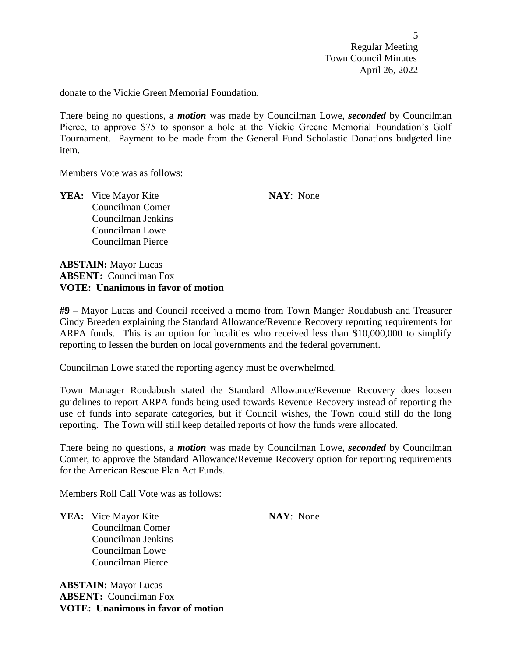$\overline{5}$ Regular Meeting Town Council Minutes April 26, 2022

donate to the Vickie Green Memorial Foundation.

There being no questions, a *motion* was made by Councilman Lowe, *seconded* by Councilman Pierce, to approve \$75 to sponsor a hole at the Vickie Greene Memorial Foundation's Golf Tournament. Payment to be made from the General Fund Scholastic Donations budgeted line item.

Members Vote was as follows:

**YEA:** Vice Mayor Kite **NAY**: None Councilman Comer Councilman Jenkins Councilman Lowe Councilman Pierce

**ABSTAIN:** Mayor Lucas **ABSENT:** Councilman Fox **VOTE: Unanimous in favor of motion**

**#9 –** Mayor Lucas and Council received a memo from Town Manger Roudabush and Treasurer Cindy Breeden explaining the Standard Allowance/Revenue Recovery reporting requirements for ARPA funds. This is an option for localities who received less than \$10,000,000 to simplify reporting to lessen the burden on local governments and the federal government.

Councilman Lowe stated the reporting agency must be overwhelmed.

Town Manager Roudabush stated the Standard Allowance/Revenue Recovery does loosen guidelines to report ARPA funds being used towards Revenue Recovery instead of reporting the use of funds into separate categories, but if Council wishes, the Town could still do the long reporting. The Town will still keep detailed reports of how the funds were allocated.

There being no questions, a *motion* was made by Councilman Lowe, *seconded* by Councilman Comer, to approve the Standard Allowance/Revenue Recovery option for reporting requirements for the American Rescue Plan Act Funds.

Members Roll Call Vote was as follows:

**YEA:** Vice Mayor Kite **NAY**: None Councilman Comer Councilman Jenkins Councilman Lowe Councilman Pierce

**ABSTAIN:** Mayor Lucas **ABSENT:** Councilman Fox **VOTE: Unanimous in favor of motion**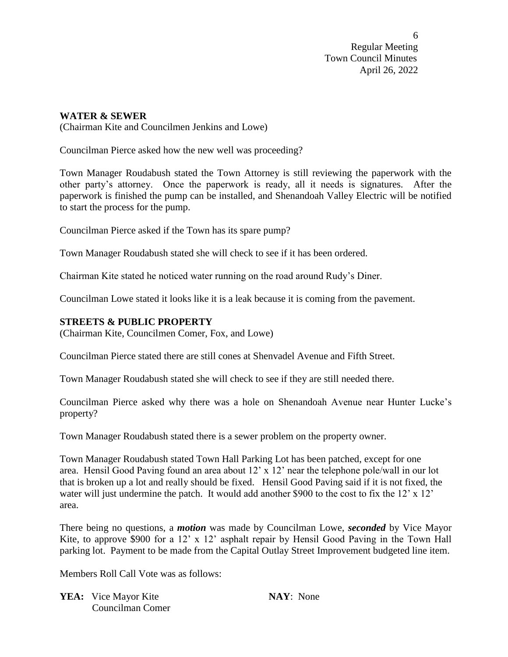# **WATER & SEWER**

(Chairman Kite and Councilmen Jenkins and Lowe)

Councilman Pierce asked how the new well was proceeding?

Town Manager Roudabush stated the Town Attorney is still reviewing the paperwork with the other party's attorney. Once the paperwork is ready, all it needs is signatures. After the paperwork is finished the pump can be installed, and Shenandoah Valley Electric will be notified to start the process for the pump.

Councilman Pierce asked if the Town has its spare pump?

Town Manager Roudabush stated she will check to see if it has been ordered.

Chairman Kite stated he noticed water running on the road around Rudy's Diner.

Councilman Lowe stated it looks like it is a leak because it is coming from the pavement.

### **STREETS & PUBLIC PROPERTY**

(Chairman Kite, Councilmen Comer, Fox, and Lowe)

Councilman Pierce stated there are still cones at Shenvadel Avenue and Fifth Street.

Town Manager Roudabush stated she will check to see if they are still needed there.

Councilman Pierce asked why there was a hole on Shenandoah Avenue near Hunter Lucke's property?

Town Manager Roudabush stated there is a sewer problem on the property owner.

Town Manager Roudabush stated Town Hall Parking Lot has been patched, except for one area. Hensil Good Paving found an area about 12' x 12' near the telephone pole/wall in our lot that is broken up a lot and really should be fixed. Hensil Good Paving said if it is not fixed, the water will just undermine the patch. It would add another \$900 to the cost to fix the 12' x 12' area.

There being no questions, a *motion* was made by Councilman Lowe, *seconded* by Vice Mayor Kite, to approve \$900 for a 12' x 12' asphalt repair by Hensil Good Paving in the Town Hall parking lot. Payment to be made from the Capital Outlay Street Improvement budgeted line item.

Members Roll Call Vote was as follows:

**YEA:** Vice Mayor Kite **NAY**: None Councilman Comer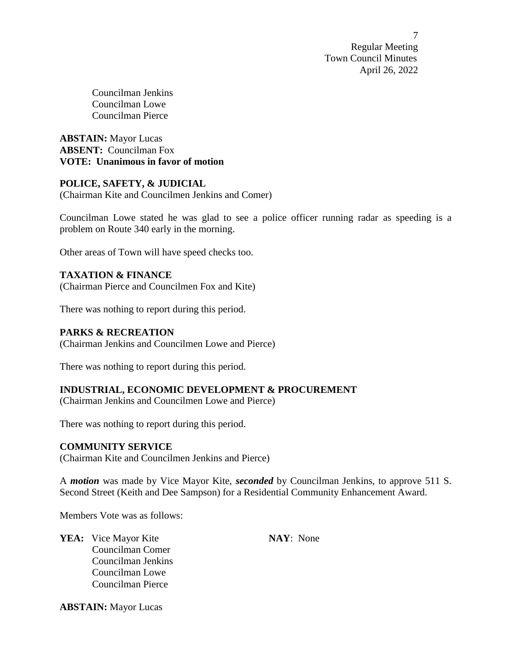Councilman Jenkins Councilman Lowe Councilman Pierce

**ABSTAIN:** Mayor Lucas **ABSENT:** Councilman Fox **VOTE: Unanimous in favor of motion**

# **POLICE, SAFETY, & JUDICIAL**

(Chairman Kite and Councilmen Jenkins and Comer)

Councilman Lowe stated he was glad to see a police officer running radar as speeding is a problem on Route 340 early in the morning.

Other areas of Town will have speed checks too.

### **TAXATION & FINANCE**

(Chairman Pierce and Councilmen Fox and Kite)

There was nothing to report during this period.

## **PARKS & RECREATION**

(Chairman Jenkins and Councilmen Lowe and Pierce)

There was nothing to report during this period.

# **INDUSTRIAL, ECONOMIC DEVELOPMENT & PROCUREMENT**

(Chairman Jenkins and Councilmen Lowe and Pierce)

There was nothing to report during this period.

### **COMMUNITY SERVICE**

(Chairman Kite and Councilmen Jenkins and Pierce)

A *motion* was made by Vice Mayor Kite, *seconded* by Councilman Jenkins, to approve 511 S. Second Street (Keith and Dee Sampson) for a Residential Community Enhancement Award.

Members Vote was as follows:

**YEA:** Vice Mayor Kite **NAY**: None Councilman Comer Councilman Jenkins Councilman Lowe Councilman Pierce

**ABSTAIN:** Mayor Lucas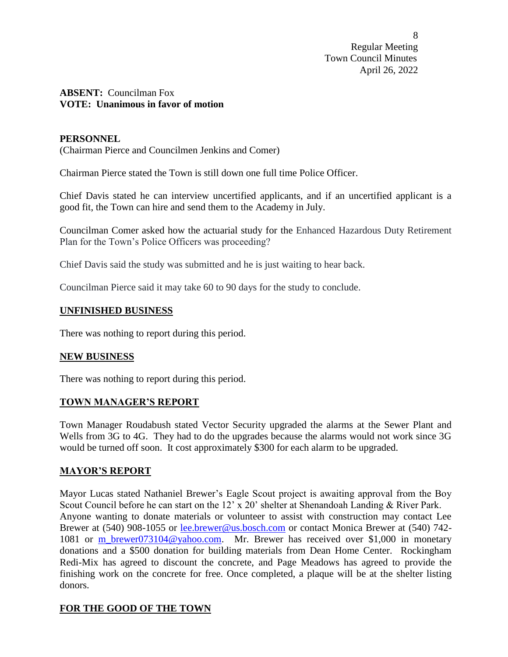# **ABSENT:** Councilman Fox **VOTE: Unanimous in favor of motion**

## **PERSONNEL**

(Chairman Pierce and Councilmen Jenkins and Comer)

Chairman Pierce stated the Town is still down one full time Police Officer.

Chief Davis stated he can interview uncertified applicants, and if an uncertified applicant is a good fit, the Town can hire and send them to the Academy in July.

Councilman Comer asked how the actuarial study for the Enhanced Hazardous Duty Retirement Plan for the Town's Police Officers was proceeding?

Chief Davis said the study was submitted and he is just waiting to hear back.

Councilman Pierce said it may take 60 to 90 days for the study to conclude.

# **UNFINISHED BUSINESS**

There was nothing to report during this period.

# **NEW BUSINESS**

There was nothing to report during this period.

#### **TOWN MANAGER'S REPORT**

Town Manager Roudabush stated Vector Security upgraded the alarms at the Sewer Plant and Wells from 3G to 4G. They had to do the upgrades because the alarms would not work since 3G would be turned off soon. It cost approximately \$300 for each alarm to be upgraded.

# **MAYOR'S REPORT**

Mayor Lucas stated Nathaniel Brewer's Eagle Scout project is awaiting approval from the Boy Scout Council before he can start on the 12' x 20' shelter at Shenandoah Landing & River Park. Anyone wanting to donate materials or volunteer to assist with construction may contact Lee Brewer at (540) 908-1055 or [lee.brewer@us.bosch.com](mailto:lee.brewer@us.bosch.com) or contact Monica Brewer at (540) 742- 1081 or [m\\_brewer073104@yahoo.com.](mailto:m_brewer073104@yahoo.com) Mr. Brewer has received over \$1,000 in monetary donations and a \$500 donation for building materials from Dean Home Center. Rockingham Redi-Mix has agreed to discount the concrete, and Page Meadows has agreed to provide the finishing work on the concrete for free. Once completed, a plaque will be at the shelter listing donors.

# **FOR THE GOOD OF THE TOWN**